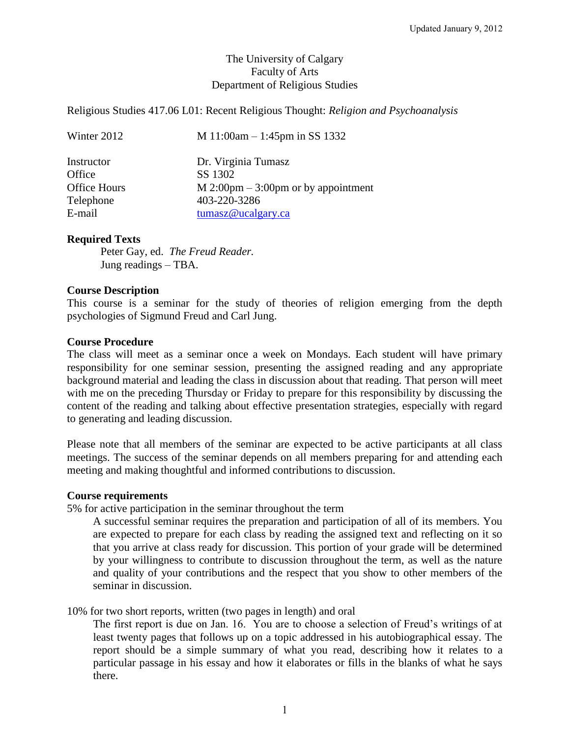# The University of Calgary Faculty of Arts Department of Religious Studies

Religious Studies 417.06 L01: Recent Religious Thought: *Religion and Psychoanalysis*

| Winter 2012         | M 11:00am $-$ 1:45pm in SS 1332       |
|---------------------|---------------------------------------|
| Instructor          | Dr. Virginia Tumasz                   |
| Office              | SS 1302                               |
| <b>Office Hours</b> | $M$ 2:00pm – 3:00pm or by appointment |
| Telephone           | 403-220-3286                          |
| E-mail              | $t$ umasz@ucalgary.ca                 |

## **Required Texts**

Peter Gay, ed. *The Freud Reader.* Jung readings – TBA.

### **Course Description**

This course is a seminar for the study of theories of religion emerging from the depth psychologies of Sigmund Freud and Carl Jung.

## **Course Procedure**

The class will meet as a seminar once a week on Mondays. Each student will have primary responsibility for one seminar session, presenting the assigned reading and any appropriate background material and leading the class in discussion about that reading. That person will meet with me on the preceding Thursday or Friday to prepare for this responsibility by discussing the content of the reading and talking about effective presentation strategies, especially with regard to generating and leading discussion.

Please note that all members of the seminar are expected to be active participants at all class meetings. The success of the seminar depends on all members preparing for and attending each meeting and making thoughtful and informed contributions to discussion.

### **Course requirements**

5% for active participation in the seminar throughout the term

A successful seminar requires the preparation and participation of all of its members. You are expected to prepare for each class by reading the assigned text and reflecting on it so that you arrive at class ready for discussion. This portion of your grade will be determined by your willingness to contribute to discussion throughout the term, as well as the nature and quality of your contributions and the respect that you show to other members of the seminar in discussion.

10% for two short reports, written (two pages in length) and oral

The first report is due on Jan. 16. You are to choose a selection of Freud's writings of at least twenty pages that follows up on a topic addressed in his autobiographical essay. The report should be a simple summary of what you read, describing how it relates to a particular passage in his essay and how it elaborates or fills in the blanks of what he says there.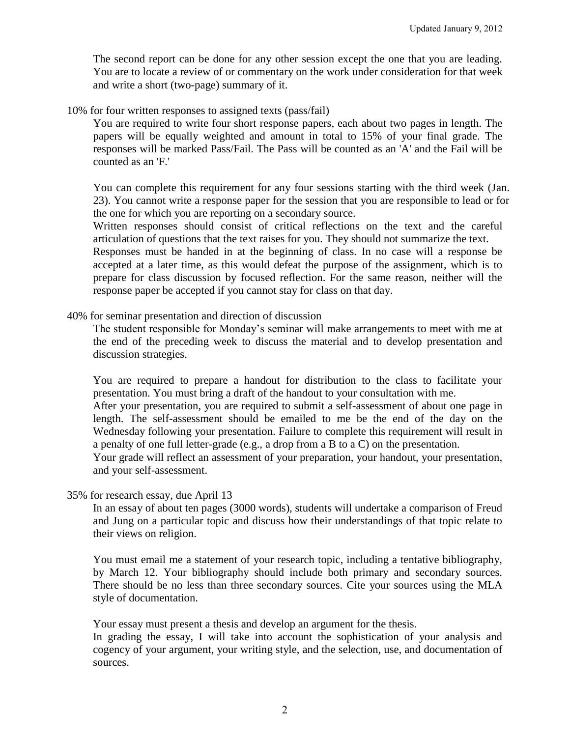The second report can be done for any other session except the one that you are leading. You are to locate a review of or commentary on the work under consideration for that week and write a short (two-page) summary of it.

10% for four written responses to assigned texts (pass/fail)

You are required to write four short response papers, each about two pages in length. The papers will be equally weighted and amount in total to 15% of your final grade. The responses will be marked Pass/Fail. The Pass will be counted as an 'A' and the Fail will be counted as an 'F.'

You can complete this requirement for any four sessions starting with the third week (Jan. 23). You cannot write a response paper for the session that you are responsible to lead or for the one for which you are reporting on a secondary source.

Written responses should consist of critical reflections on the text and the careful articulation of questions that the text raises for you. They should not summarize the text.

Responses must be handed in at the beginning of class. In no case will a response be accepted at a later time, as this would defeat the purpose of the assignment, which is to prepare for class discussion by focused reflection. For the same reason, neither will the response paper be accepted if you cannot stay for class on that day.

40% for seminar presentation and direction of discussion

The student responsible for Monday's seminar will make arrangements to meet with me at the end of the preceding week to discuss the material and to develop presentation and discussion strategies.

You are required to prepare a handout for distribution to the class to facilitate your presentation. You must bring a draft of the handout to your consultation with me.

After your presentation, you are required to submit a self-assessment of about one page in length. The self-assessment should be emailed to me be the end of the day on the Wednesday following your presentation. Failure to complete this requirement will result in a penalty of one full letter-grade (e.g., a drop from a B to a C) on the presentation.

Your grade will reflect an assessment of your preparation, your handout, your presentation, and your self-assessment.

35% for research essay, due April 13

In an essay of about ten pages (3000 words), students will undertake a comparison of Freud and Jung on a particular topic and discuss how their understandings of that topic relate to their views on religion.

You must email me a statement of your research topic, including a tentative bibliography, by March 12. Your bibliography should include both primary and secondary sources. There should be no less than three secondary sources. Cite your sources using the MLA style of documentation.

Your essay must present a thesis and develop an argument for the thesis.

In grading the essay, I will take into account the sophistication of your analysis and cogency of your argument, your writing style, and the selection, use, and documentation of sources.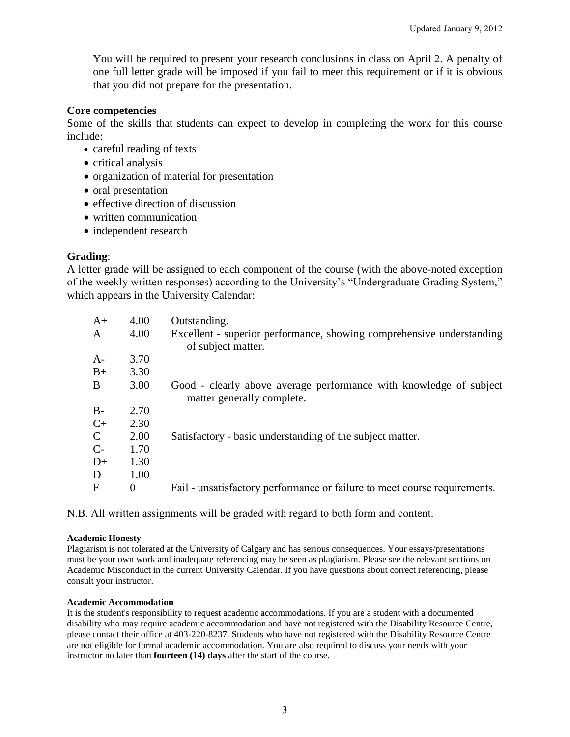You will be required to present your research conclusions in class on April 2. A penalty of one full letter grade will be imposed if you fail to meet this requirement or if it is obvious that you did not prepare for the presentation.

## **Core competencies**

Some of the skills that students can expect to develop in completing the work for this course include:

- careful reading of texts
- critical analysis
- organization of material for presentation
- oral presentation
- effective direction of discussion
- written communication
- independent research

## **Grading**:

A letter grade will be assigned to each component of the course (with the above-noted exception of the weekly written responses) according to the University's "Undergraduate Grading System," which appears in the University Calendar:

| $A+$         | 4.00 | Outstanding.                                                                                     |
|--------------|------|--------------------------------------------------------------------------------------------------|
| A            | 4.00 | Excellent - superior performance, showing comprehensive understanding<br>of subject matter.      |
| $A-$         | 3.70 |                                                                                                  |
| $B+$         | 3.30 |                                                                                                  |
| B            | 3.00 | Good - clearly above average performance with knowledge of subject<br>matter generally complete. |
| $B-$         | 2.70 |                                                                                                  |
| $C+$         | 2.30 |                                                                                                  |
| $\mathbf C$  | 2.00 | Satisfactory - basic understanding of the subject matter.                                        |
| $C-$         | 1.70 |                                                                                                  |
| $D+$         | 1.30 |                                                                                                  |
| D            | 1.00 |                                                                                                  |
| $\mathbf{F}$ | 0    | Fail - unsatisfactory performance or failure to meet course requirements.                        |

N.B. All written assignments will be graded with regard to both form and content.

### **Academic Honesty**

Plagiarism is not tolerated at the University of Calgary and has serious consequences. Your essays/presentations must be your own work and inadequate referencing may be seen as plagiarism. Please see the relevant sections on Academic Misconduct in the current University Calendar. If you have questions about correct referencing, please consult your instructor.

### **Academic Accommodation**

It is the student's responsibility to request academic accommodations. If you are a student with a documented disability who may require academic accommodation and have not registered with the Disability Resource Centre, please contact their office at 403-220-8237. Students who have not registered with the Disability Resource Centre are not eligible for formal academic accommodation. You are also required to discuss your needs with your instructor no later than **fourteen (14) days** after the start of the course.